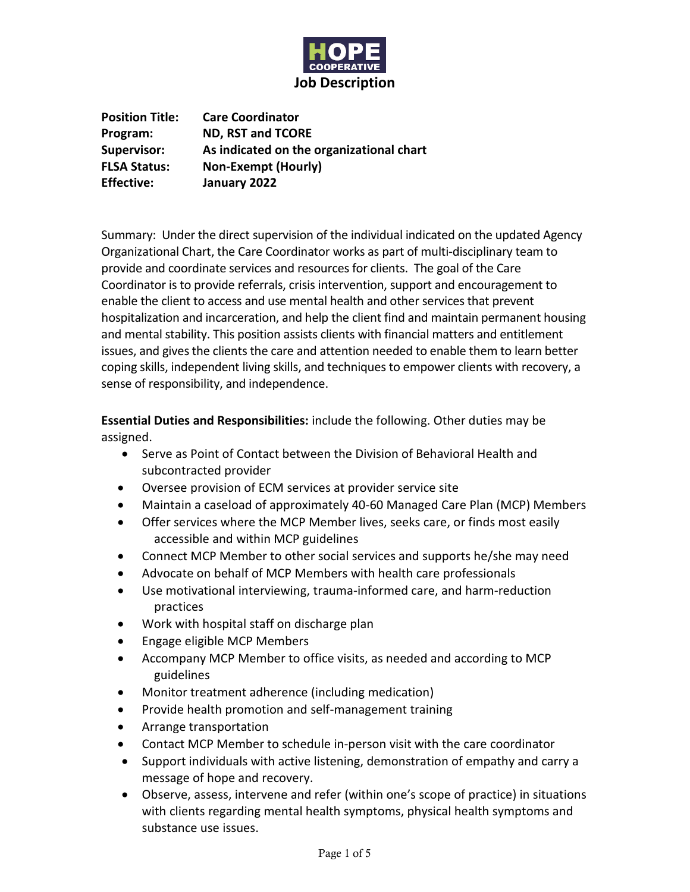

**Position Title: Care Coordinator Program: ND, RST and TCORE Supervisor: As indicated on the organizational chart FLSA Status: Non-Exempt (Hourly) Effective: January 2022**

Summary: Under the direct supervision of the individual indicated on the updated Agency Organizational Chart, the Care Coordinator works as part of multi-disciplinary team to provide and coordinate services and resources for clients. The goal of the Care Coordinator is to provide referrals, crisis intervention, support and encouragement to enable the client to access and use mental health and other services that prevent hospitalization and incarceration, and help the client find and maintain permanent housing and mental stability. This position assists clients with financial matters and entitlement issues, and gives the clients the care and attention needed to enable them to learn better coping skills, independent living skills, and techniques to empower clients with recovery, a sense of responsibility, and independence.

**Essential Duties and Responsibilities:** include the following. Other duties may be assigned.

- Serve as Point of Contact between the Division of Behavioral Health and subcontracted provider
- Oversee provision of ECM services at provider service site
- Maintain a caseload of approximately 40-60 Managed Care Plan (MCP) Members
- Offer services where the MCP Member lives, seeks care, or finds most easily accessible and within MCP guidelines
- Connect MCP Member to other social services and supports he/she may need
- Advocate on behalf of MCP Members with health care professionals
- Use motivational interviewing, trauma-informed care, and harm-reduction practices
- Work with hospital staff on discharge plan
- Engage eligible MCP Members
- Accompany MCP Member to office visits, as needed and according to MCP guidelines
- Monitor treatment adherence (including medication)
- Provide health promotion and self-management training
- Arrange transportation
- Contact MCP Member to schedule in-person visit with the care coordinator
- Support individuals with active listening, demonstration of empathy and carry a message of hope and recovery.
- Observe, assess, intervene and refer (within one's scope of practice) in situations with clients regarding mental health symptoms, physical health symptoms and substance use issues.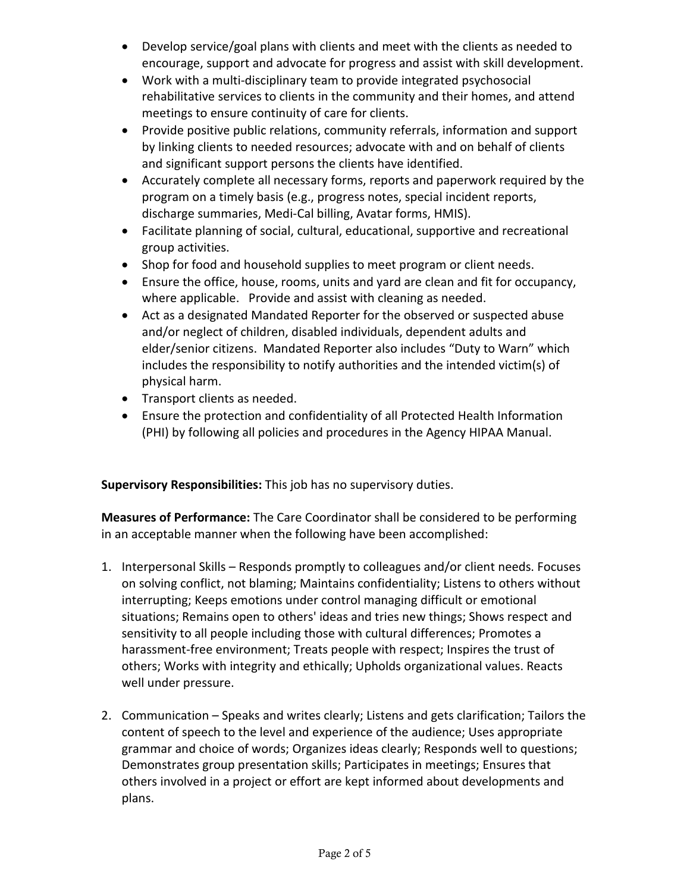- Develop service/goal plans with clients and meet with the clients as needed to encourage, support and advocate for progress and assist with skill development.
- Work with a multi-disciplinary team to provide integrated psychosocial rehabilitative services to clients in the community and their homes, and attend meetings to ensure continuity of care for clients.
- Provide positive public relations, community referrals, information and support by linking clients to needed resources; advocate with and on behalf of clients and significant support persons the clients have identified.
- Accurately complete all necessary forms, reports and paperwork required by the program on a timely basis (e.g., progress notes, special incident reports, discharge summaries, Medi-Cal billing, Avatar forms, HMIS).
- Facilitate planning of social, cultural, educational, supportive and recreational group activities.
- Shop for food and household supplies to meet program or client needs.
- Ensure the office, house, rooms, units and yard are clean and fit for occupancy, where applicable. Provide and assist with cleaning as needed.
- Act as a designated Mandated Reporter for the observed or suspected abuse and/or neglect of children, disabled individuals, dependent adults and elder/senior citizens. Mandated Reporter also includes "Duty to Warn" which includes the responsibility to notify authorities and the intended victim(s) of physical harm.
- Transport clients as needed.
- Ensure the protection and confidentiality of all Protected Health Information (PHI) by following all policies and procedures in the Agency HIPAA Manual.

**Supervisory Responsibilities:** This job has no supervisory duties.

**Measures of Performance:** The Care Coordinator shall be considered to be performing in an acceptable manner when the following have been accomplished:

- 1. Interpersonal Skills Responds promptly to colleagues and/or client needs. Focuses on solving conflict, not blaming; Maintains confidentiality; Listens to others without interrupting; Keeps emotions under control managing difficult or emotional situations; Remains open to others' ideas and tries new things; Shows respect and sensitivity to all people including those with cultural differences; Promotes a harassment-free environment; Treats people with respect; Inspires the trust of others; Works with integrity and ethically; Upholds organizational values. Reacts well under pressure.
- 2. Communication Speaks and writes clearly; Listens and gets clarification; Tailors the content of speech to the level and experience of the audience; Uses appropriate grammar and choice of words; Organizes ideas clearly; Responds well to questions; Demonstrates group presentation skills; Participates in meetings; Ensures that others involved in a project or effort are kept informed about developments and plans.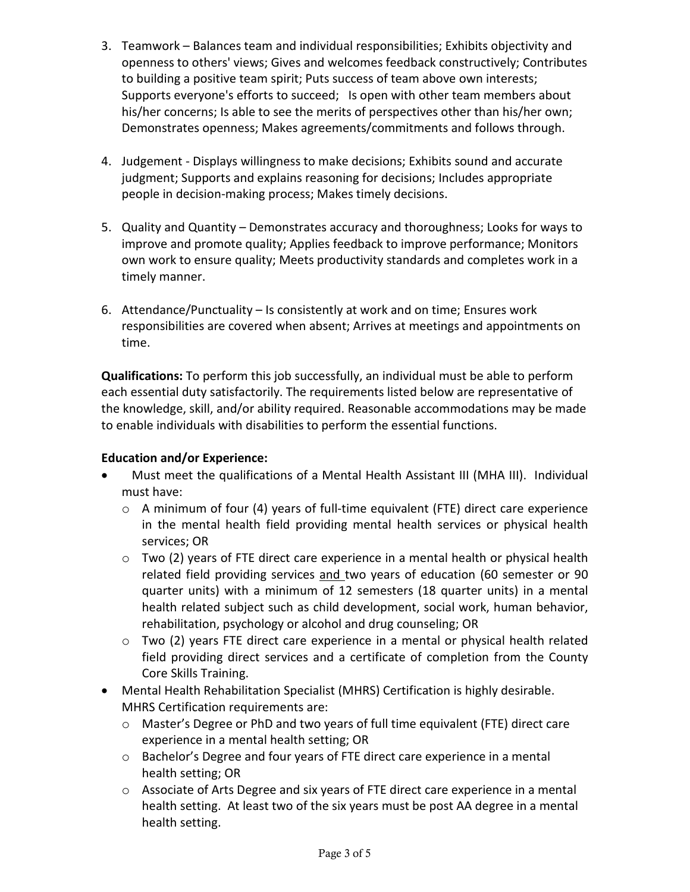- 3. Teamwork Balances team and individual responsibilities; Exhibits objectivity and openness to others' views; Gives and welcomes feedback constructively; Contributes to building a positive team spirit; Puts success of team above own interests; Supports everyone's efforts to succeed; Is open with other team members about his/her concerns; Is able to see the merits of perspectives other than his/her own; Demonstrates openness; Makes agreements/commitments and follows through.
- 4. Judgement Displays willingness to make decisions; Exhibits sound and accurate judgment; Supports and explains reasoning for decisions; Includes appropriate people in decision-making process; Makes timely decisions.
- 5. Quality and Quantity Demonstrates accuracy and thoroughness; Looks for ways to improve and promote quality; Applies feedback to improve performance; Monitors own work to ensure quality; Meets productivity standards and completes work in a timely manner.
- 6. Attendance/Punctuality Is consistently at work and on time; Ensures work responsibilities are covered when absent; Arrives at meetings and appointments on time.

**Qualifications:** To perform this job successfully, an individual must be able to perform each essential duty satisfactorily. The requirements listed below are representative of the knowledge, skill, and/or ability required. Reasonable accommodations may be made to enable individuals with disabilities to perform the essential functions.

### **Education and/or Experience:**

- Must meet the qualifications of a Mental Health Assistant III (MHA III). Individual must have:
	- o A minimum of four (4) years of full-time equivalent (FTE) direct care experience in the mental health field providing mental health services or physical health services; OR
	- $\circ$  Two (2) years of FTE direct care experience in a mental health or physical health related field providing services and two years of education (60 semester or 90 quarter units) with a minimum of 12 semesters (18 quarter units) in a mental health related subject such as child development, social work, human behavior, rehabilitation, psychology or alcohol and drug counseling; OR
	- o Two (2) years FTE direct care experience in a mental or physical health related field providing direct services and a certificate of completion from the County Core Skills Training.
- Mental Health Rehabilitation Specialist (MHRS) Certification is highly desirable. MHRS Certification requirements are:
	- o Master's Degree or PhD and two years of full time equivalent (FTE) direct care experience in a mental health setting; OR
	- o Bachelor's Degree and four years of FTE direct care experience in a mental health setting; OR
	- $\circ$  Associate of Arts Degree and six years of FTE direct care experience in a mental health setting. At least two of the six years must be post AA degree in a mental health setting.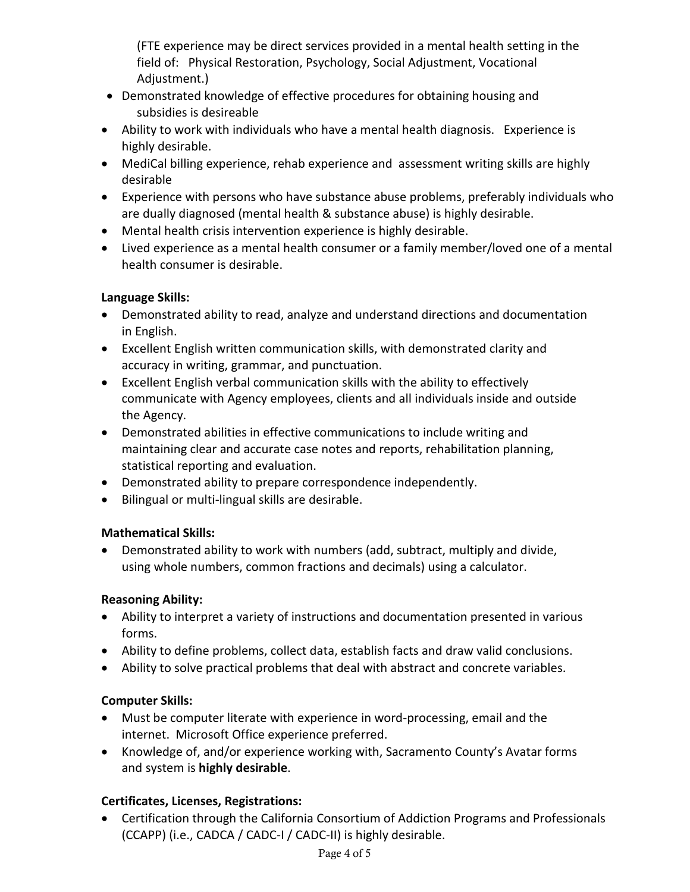(FTE experience may be direct services provided in a mental health setting in the field of: Physical Restoration, Psychology, Social Adjustment, Vocational Adjustment.)

- Demonstrated knowledge of effective procedures for obtaining housing and subsidies is desireable
- Ability to work with individuals who have a mental health diagnosis. Experience is highly desirable.
- MediCal billing experience, rehab experience and assessment writing skills are highly desirable
- Experience with persons who have substance abuse problems, preferably individuals who are dually diagnosed (mental health & substance abuse) is highly desirable.
- Mental health crisis intervention experience is highly desirable.
- Lived experience as a mental health consumer or a family member/loved one of a mental health consumer is desirable.

### **Language Skills:**

- Demonstrated ability to read, analyze and understand directions and documentation in English.
- Excellent English written communication skills, with demonstrated clarity and accuracy in writing, grammar, and punctuation.
- Excellent English verbal communication skills with the ability to effectively communicate with Agency employees, clients and all individuals inside and outside the Agency.
- Demonstrated abilities in effective communications to include writing and maintaining clear and accurate case notes and reports, rehabilitation planning, statistical reporting and evaluation.
- Demonstrated ability to prepare correspondence independently.
- Bilingual or multi-lingual skills are desirable.

### **Mathematical Skills:**

• Demonstrated ability to work with numbers (add, subtract, multiply and divide, using whole numbers, common fractions and decimals) using a calculator.

### **Reasoning Ability:**

- Ability to interpret a variety of instructions and documentation presented in various forms.
- Ability to define problems, collect data, establish facts and draw valid conclusions.
- Ability to solve practical problems that deal with abstract and concrete variables.

# **Computer Skills:**

- Must be computer literate with experience in word-processing, email and the internet. Microsoft Office experience preferred.
- Knowledge of, and/or experience working with, Sacramento County's Avatar forms and system is **highly desirable**.

# **Certificates, Licenses, Registrations:**

• Certification through the California Consortium of Addiction Programs and Professionals (CCAPP) (i.e., CADCA / CADC-I / CADC-II) is highly desirable.